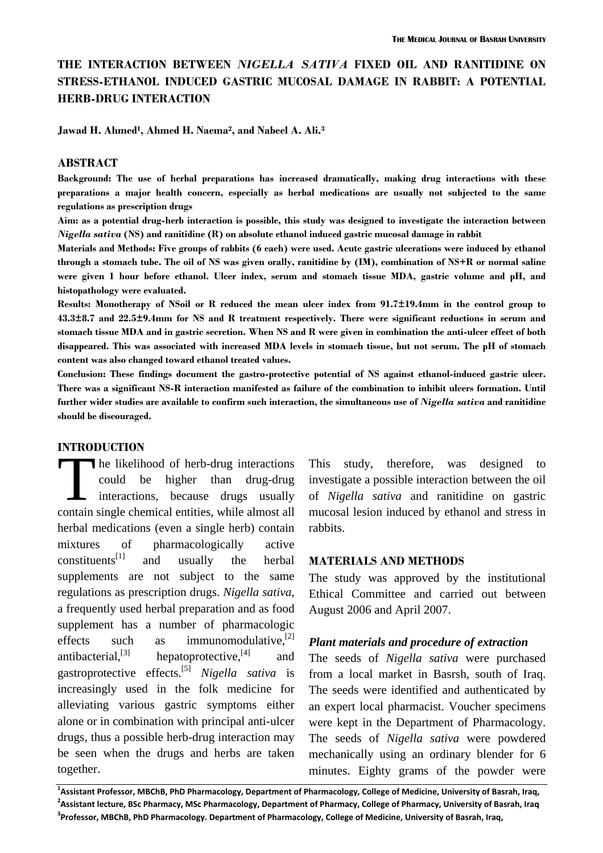## **THE INTERACTION BETWEEN** *NIGELLA SATIVA* **FIXED OIL AND RANITIDINE ON STRESS-ETHANOL INDUCED GASTRIC MUCOSAL DAMAGE IN RABBIT: A POTENTIAL HERB-DRUG INTERACTION**

**Jawad H. Ahmed1, Ahmed H. Naema2, and Nabeel A. Ali.3**

#### **ABSTRACT**

**Background: The use of herbal preparations has increased dramatically, making drug interactions with these preparations a major health concern, especially as herbal medications are usually not subjected to the same regulations as prescription drugs** 

**Aim: as a potential drug-herb interaction is possible, this study was designed to investigate the interaction between**  *Nigella sativa* **(NS) and ranitidine (R) on absolute ethanol induced gastric mucosal damage in rabbit** 

**Materials and Methods: Five groups of rabbits (6 each) were used. Acute gastric ulcerations were induced by ethanol through a stomach tube. The oil of NS was given orally, ranitidine by (IM), combination of NS+R or normal saline were given 1 hour before ethanol. Ulcer index, serum and stomach tissue MDA, gastric volume and pH, and histopathology were evaluated.** 

**Results: Monotherapy of NSoil or R reduced the mean ulcer index from 91.7±19.4mm in the control group to 43.3±8.7 and 22.5±9.4mm for NS and R treatment respectively. There were significant reductions in serum and stomach tissue MDA and in gastric secretion. When NS and R were given in combination the anti-ulcer effect of both disappeared. This was associated with increased MDA levels in stomach tissue, but not serum. The pH of stomach content was also changed toward ethanol treated values.** 

**Conclusion: These findings document the gastro-protective potential of NS against ethanol-induced gastric ulcer. There was a significant NS-R interaction manifested as failure of the combination to inhibit ulcers formation. Until further wider studies are available to confirm such interaction, the simultaneous use of** *Nigella sativa* **and ranitidine should be discouraged.** 

#### **INTRODUCTION**

he likelihood of herb-drug interactions could be higher than drug-drug interactions, because drugs usually contain single chemical entities, while almost all herbal medications (even a single herb) contain mixtures of pharmacologically active constituents<sup>[1]</sup> and usually the herbal supplements are not subject to the same regulations as prescription drugs. *Nigella sativa*, a frequently used herbal preparation and as food supplement has a number of pharmacologic effects such as immunomodulative,<sup>[2]</sup> antibacterial, $^{[3]}$  hepatoprotective, $^{[4]}$  and gastroprotective effects.[5] *Nigella sativa* is increasingly used in the folk medicine for alleviating various gastric symptoms either alone or in combination with principal anti-ulcer drugs, thus a possible herb-drug interaction may be seen when the drugs and herbs are taken together. The contain ain

This study, therefore, was designed to investigate a possible interaction between the oil of *Nigella sativa* and ranitidine on gastric mucosal lesion induced by ethanol and stress in rabbits.

#### **MATERIALS AND METHODS**

The study was approved by the institutional Ethical Committee and carried out between August 2006 and April 2007.

#### *Plant materials and procedure of extraction*

The seeds of *Nigella sativa* were purchased from a local market in Basrsh, south of Iraq. The seeds were identified and authenticated by an expert local pharmacist. Voucher specimens were kept in the Department of Pharmacology. The seeds of *Nigella sativa* were powdered mechanically using an ordinary blender for 6 minutes. Eighty grams of the powder were

 $^1$ Assistant Professor, MBChB, PhD Pharmacology, Department of Pharmacology, College of Medicine, University of Basrah, Iraq, <sup>2</sup>Assistant lecture, BSc Pharmacy, MSc Pharmacology, Department of Pharmacy, College of Pharmacy, University of Basrah, Iraq <sup>3</sup>Professor, MBChB, PhD Pharmacology. Department of Pharmacology, College of Medicine, University of Basrah, Iraq,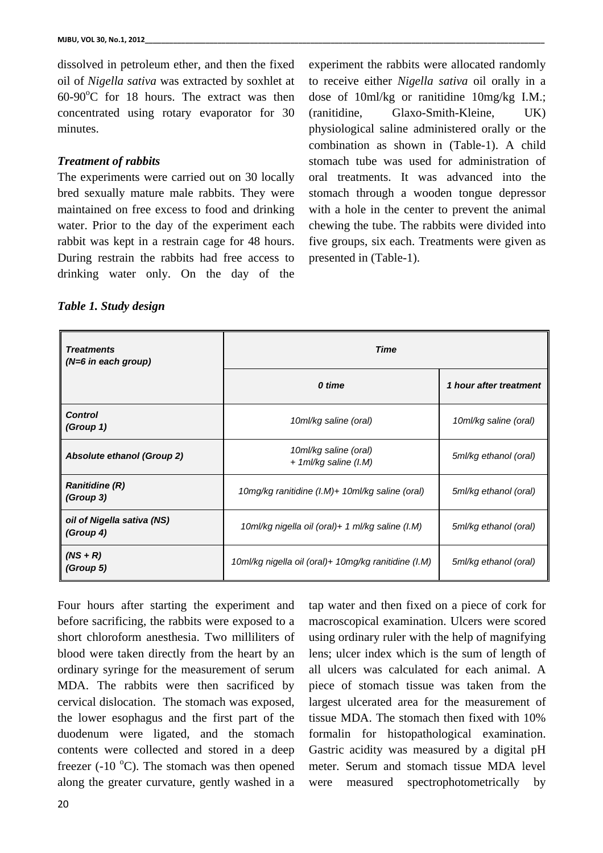dissolved in petroleum ether, and then the fixed oil of *Nigella sativa* was extracted by soxhlet at  $60-90^{\circ}$ C for 18 hours. The extract was then concentrated using rotary evaporator for 30 minutes.

### *Treatment of rabbits*

The experiments were carried out on 30 locally bred sexually mature male rabbits. They were maintained on free excess to food and drinking water. Prior to the day of the experiment each rabbit was kept in a restrain cage for 48 hours. During restrain the rabbits had free access to drinking water only. On the day of the

experiment the rabbits were allocated randomly to receive either *Nigella sativa* oil orally in a dose of 10ml/kg or ranitidine 10mg/kg I.M.; (ranitidine, Glaxo-Smith-Kleine, UK) physiological saline administered orally or the combination as shown in (Table-1). A child stomach tube was used for administration of oral treatments. It was advanced into the stomach through a wooden tongue depressor with a hole in the center to prevent the animal chewing the tube. The rabbits were divided into five groups, six each. Treatments were given as presented in (Table-1).

### *Table 1. Study design*

| <b>Treatments</b><br>$(N=6$ in each group) | Time                                                 |                        |  |
|--------------------------------------------|------------------------------------------------------|------------------------|--|
|                                            | 0 time                                               | 1 hour after treatment |  |
| <b>Control</b><br>(Group 1)                | 10ml/kg saline (oral)                                | 10ml/kg saline (oral)  |  |
| Absolute ethanol (Group 2)                 | 10ml/kg saline (oral)<br>$+ 1$ ml/kg saline (I.M)    | 5ml/kg ethanol (oral)  |  |
| <b>Ranitidine (R)</b><br>(Group 3)         | 10mg/kg ranitidine $(l.M)+10ml/kg$ saline (oral)     | 5ml/kg ethanol (oral)  |  |
| oil of Nigella sativa (NS)<br>(Group 4)    | 10ml/kg nigella oil (oral)+ 1 ml/kg saline (I.M)     | 5ml/kg ethanol (oral)  |  |
| $(NS + R)$<br>(Group 5)                    | 10ml/kg nigella oil (oral)+ 10mg/kg ranitidine (I.M) | 5ml/kg ethanol (oral)  |  |

Four hours after starting the experiment and before sacrificing, the rabbits were exposed to a short chloroform anesthesia. Two milliliters of blood were taken directly from the heart by an ordinary syringe for the measurement of serum MDA. The rabbits were then sacrificed by cervical dislocation. The stomach was exposed, the lower esophagus and the first part of the duodenum were ligated, and the stomach contents were collected and stored in a deep freezer (-10 $\degree$ C). The stomach was then opened along the greater curvature, gently washed in a

tap water and then fixed on a piece of cork for macroscopical examination. Ulcers were scored using ordinary ruler with the help of magnifying lens; ulcer index which is the sum of length of all ulcers was calculated for each animal. A piece of stomach tissue was taken from the largest ulcerated area for the measurement of tissue MDA. The stomach then fixed with 10% formalin for histopathological examination. Gastric acidity was measured by a digital pH meter. Serum and stomach tissue MDA level were measured spectrophotometrically by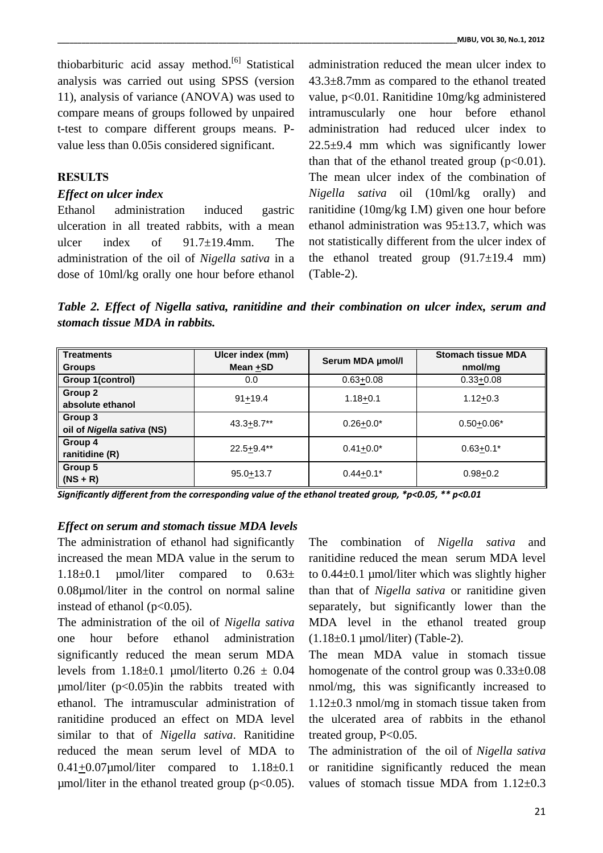thiobarbituric acid assay method.<sup>[6]</sup> Statistical analysis was carried out using SPSS (version 11), analysis of variance (ANOVA) was used to compare means of groups followed by unpaired t-test to compare different groups means. Pvalue less than 0.05is considered significant.

### **RESULTS**

#### *Effect on ulcer index*

Ethanol administration induced gastric ulceration in all treated rabbits, with a mean ulcer index of 91.7±19.4mm. The administration of the oil of *Nigella sativa* in a dose of 10ml/kg orally one hour before ethanol

administration reduced the mean ulcer index to 43.3±8.7mm as compared to the ethanol treated value, p<0.01. Ranitidine 10mg/kg administered intramuscularly one hour before ethanol administration had reduced ulcer index to 22.5±9.4 mm which was significantly lower than that of the ethanol treated group  $(p<0.01)$ . The mean ulcer index of the combination of *Nigella sativa* oil (10ml/kg orally) and ranitidine (10mg/kg I.M) given one hour before ethanol administration was 95±13.7, which was not statistically different from the ulcer index of the ethanol treated group  $(91.7 \pm 19.4 \text{ mm})$ (Table-2).

*Table 2. Effect of Nigella sativa, ranitidine and their combination on ulcer index, serum and stomach tissue MDA in rabbits.* 

| <b>Treatments</b><br><b>Groups</b>    | Ulcer index (mm)<br>Mean $+$ SD | Serum MDA µmol/l | <b>Stomach tissue MDA</b><br>nmol/mq |
|---------------------------------------|---------------------------------|------------------|--------------------------------------|
| Group 1(control)                      | 0.0                             | $0.63 + 0.08$    | $0.33 + 0.08$                        |
| Group 2<br>absolute ethanol           | $91 + 19.4$                     | $1.18 + 0.1$     | $1.12 + 0.3$                         |
| Group 3<br>oil of Nigella sativa (NS) | $43.3 + 8.7**$                  | $0.26 + 0.0*$    | $0.50 + 0.06*$                       |
| Group 4<br>ranitidine (R)             | $22.5 + 9.4**$                  | $0.41 + 0.0*$    | $0.63 + 0.1*$                        |
| Group 5<br>$(NS + R)$                 | $95.0 + 13.7$                   | $0.44 + 0.1*$    | $0.98 + 0.2$                         |

*Significantly different from the corresponding value of the ethanol treated group, \*p<0.05, \*\* p<0.01* 

#### *Effect on serum and stomach tissue MDA levels*

The administration of ethanol had significantly increased the mean MDA value in the serum to  $1.18\pm0.1$  umol/liter compared to  $0.63\pm$ 0.08µmol/liter in the control on normal saline instead of ethanol ( $p<0.05$ ).

The administration of the oil of *Nigella sativa* one hour before ethanol administration significantly reduced the mean serum MDA levels from  $1.18\pm0.1$  umol/literto  $0.26 \pm 0.04$  $\mu$ mol/liter (p<0.05)in the rabbits treated with ethanol. The intramuscular administration of ranitidine produced an effect on MDA level similar to that of *Nigella sativa*. Ranitidine reduced the mean serum level of MDA to  $0.41+0.07$ µmol/liter compared to  $1.18\pm0.1$  $\mu$ mol/liter in the ethanol treated group (p<0.05).

The combination of *Nigella sativa* and ranitidine reduced the mean serum MDA level to  $0.44\pm0.1$  umol/liter which was slightly higher than that of *Nigella sativa* or ranitidine given separately, but significantly lower than the MDA level in the ethanol treated group  $(1.18\pm0.1 \text{ \mu mol/liter})$  (Table-2).

The mean MDA value in stomach tissue homogenate of the control group was  $0.33\pm0.08$ nmol/mg, this was significantly increased to 1.12±0.3 nmol/mg in stomach tissue taken from the ulcerated area of rabbits in the ethanol treated group, P<0.05.

The administration of the oil of *Nigella sativa* or ranitidine significantly reduced the mean values of stomach tissue MDA from  $1.12 \pm 0.3$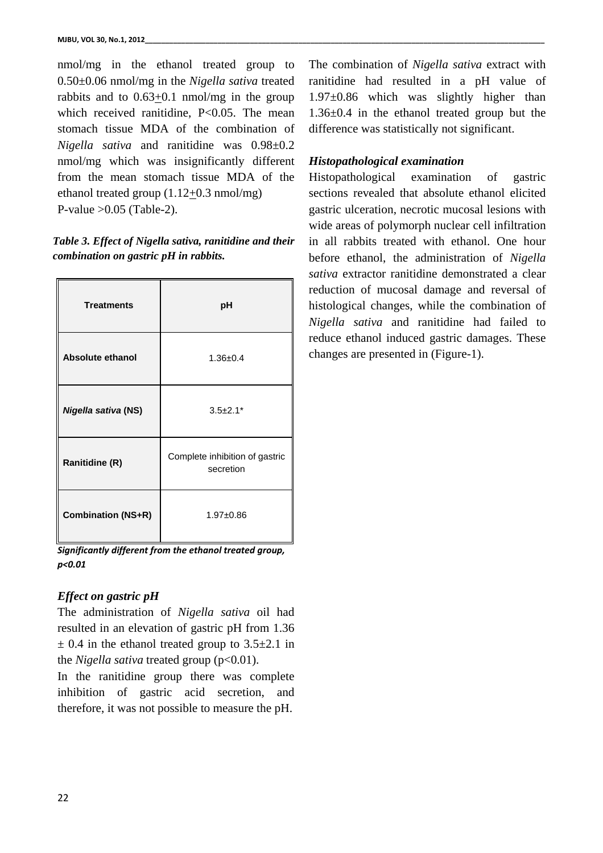nmol/mg in the ethanol treated group to 0.50±0.06 nmol/mg in the *Nigella sativa* treated rabbits and to 0.63+0.1 nmol/mg in the group which received ranitidine, P<0.05. The mean stomach tissue MDA of the combination of *Nigella sativa* and ranitidine was 0.98±0.2 nmol/mg which was insignificantly different from the mean stomach tissue MDA of the ethanol treated group (1.12+0.3 nmol/mg) P-value  $>0.05$  (Table-2).

## *Table 3. Effect of Nigella sativa, ranitidine and their combination on gastric pH in rabbits.*

| <b>Treatments</b>         | pH                                          |
|---------------------------|---------------------------------------------|
| <b>Absolute ethanol</b>   | $1.36 + 0.4$                                |
| Nigella sativa (NS)       | $3.5 \pm 2.1*$                              |
| <b>Ranitidine (R)</b>     | Complete inhibition of gastric<br>secretion |
| <b>Combination (NS+R)</b> | $1.97 + 0.86$                               |

*Significantly different from the ethanol treated group, p<0.01*

# *Effect on gastric pH*

The administration of *Nigella sativa* oil had resulted in an elevation of gastric pH from 1.36  $\pm$  0.4 in the ethanol treated group to 3.5 $\pm$ 2.1 in the *Nigella sativa* treated group (p<0.01).

In the ranitidine group there was complete inhibition of gastric acid secretion, and therefore, it was not possible to measure the pH.

The combination of *Nigella sativa* extract with ranitidine had resulted in a pH value of 1.97±0.86 which was slightly higher than 1.36±0.4 in the ethanol treated group but the difference was statistically not significant.

# *Histopathological examination*

Histopathological examination of gastric sections revealed that absolute ethanol elicited gastric ulceration, necrotic mucosal lesions with wide areas of polymorph nuclear cell infiltration in all rabbits treated with ethanol. One hour before ethanol, the administration of *Nigella sativa* extractor ranitidine demonstrated a clear reduction of mucosal damage and reversal of histological changes, while the combination of *Nigella sativa* and ranitidine had failed to reduce ethanol induced gastric damages. These changes are presented in (Figure-1).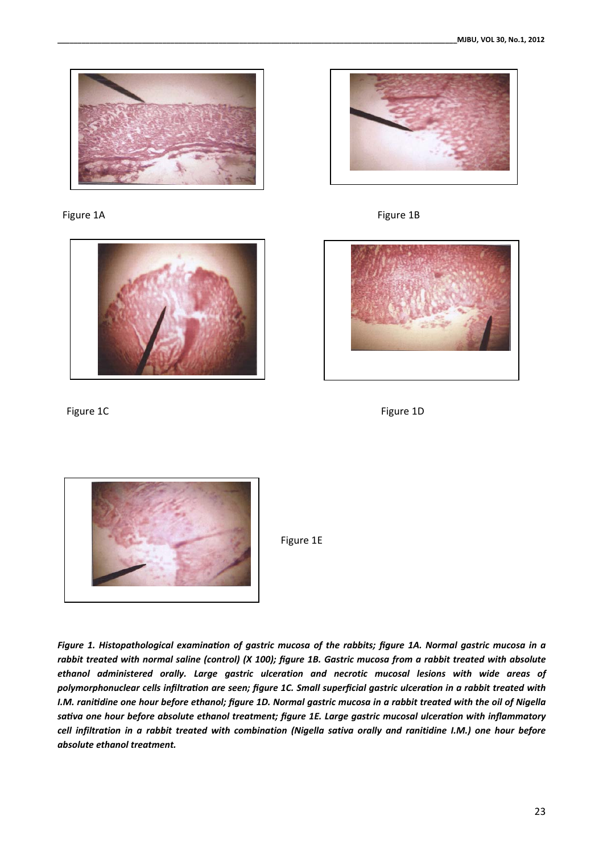

Figure 1A **Figure 18** 











Figure 1E

*Figure 1. Histopathological examination of gastric mucosa of the rabbits; figure 1A. Normal gastric mucosa in a rabbit treated with normal saline (control) (X 100); figure 1B. Gastric mucosa from a rabbit treated with absolute ethanol administered orally. Large gastric ulceration and necrotic mucosal lesions with wide areas of polymorphonuclear cells infiltraƟon are seen; figure 1C. Small superficial gastric ulceraƟon in a rabbit treated with I.M. raniƟdine one hour before ethanol; figure 1D. Normal gastric mucosa in a rabbit treated with the oil of Nigella saƟva one hour before absolute ethanol treatment; figure 1E. Large gastric mucosal ulceraƟon with inflammatory cell infiltration in a rabbit treated with combination (Nigella sativa orally and ranitidine I.M.) one hour before absolute ethanol treatment.*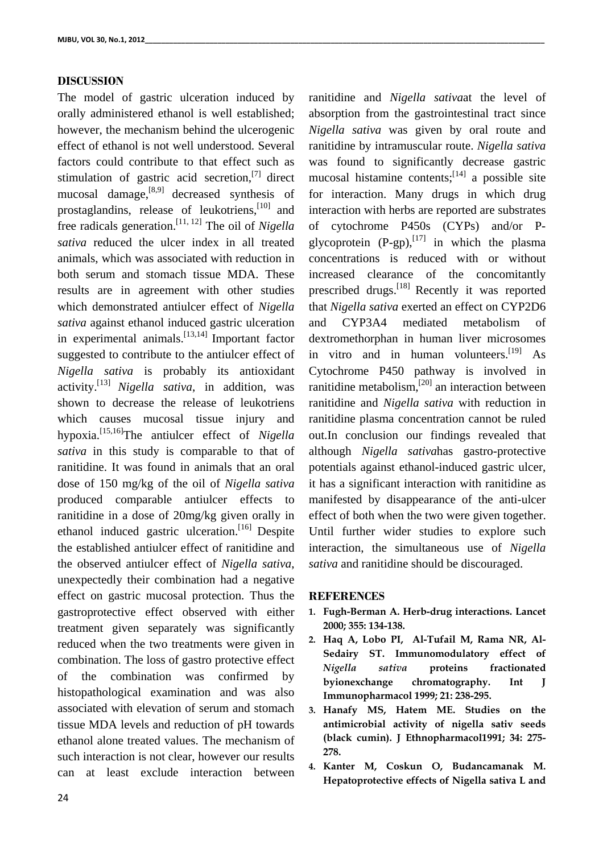### **DISCUSSION**

The model of gastric ulceration induced by orally administered ethanol is well established; however, the mechanism behind the ulcerogenic effect of ethanol is not well understood. Several factors could contribute to that effect such as stimulation of gastric acid secretion, $^{[7]}$  direct mucosal damage,[8,9] decreased synthesis of prostaglandins, release of leukotriens,[10] and free radicals generation.[11, 12] The oil of *Nigella sativa* reduced the ulcer index in all treated animals, which was associated with reduction in both serum and stomach tissue MDA. These results are in agreement with other studies which demonstrated antiulcer effect of *Nigella sativa* against ethanol induced gastric ulceration in experimental animals.  $\left[13,14\right]$  Important factor suggested to contribute to the antiulcer effect of *Nigella sativa* is probably its antioxidant activity.[13] *Nigella sativa*, in addition, was shown to decrease the release of leukotriens which causes mucosal tissue injury and hypoxia.[15,16]The antiulcer effect of *Nigella sativa* in this study is comparable to that of ranitidine. It was found in animals that an oral dose of 150 mg/kg of the oil of *Nigella sativa* produced comparable antiulcer effects to ranitidine in a dose of 20mg/kg given orally in ethanol induced gastric ulceration.<sup>[16]</sup> Despite the established antiulcer effect of ranitidine and the observed antiulcer effect of *Nigella sativa*, unexpectedly their combination had a negative effect on gastric mucosal protection. Thus the gastroprotective effect observed with either treatment given separately was significantly reduced when the two treatments were given in combination. The loss of gastro protective effect of the combination was confirmed by histopathological examination and was also associated with elevation of serum and stomach tissue MDA levels and reduction of pH towards ethanol alone treated values. The mechanism of such interaction is not clear, however our results can at least exclude interaction between

24

ranitidine and *Nigella sativa*at the level of absorption from the gastrointestinal tract since *Nigella sativa* was given by oral route and ranitidine by intramuscular route. *Nigella sativa* was found to significantly decrease gastric mucosal histamine contents;  $[14]$  a possible site for interaction. Many drugs in which drug interaction with herbs are reported are substrates of cytochrome P450s (CYPs) and/or Pglycoprotein  $(P-gp)$ ,  $[17]$  in which the plasma concentrations is reduced with or without increased clearance of the concomitantly prescribed drugs.[18] Recently it was reported that *Nigella sativa* exerted an effect on CYP2D6 and CYP3A4 mediated metabolism of dextromethorphan in human liver microsomes in vitro and in human volunteers.<sup>[19]</sup> As Cytochrome P450 pathway is involved in ranitidine metabolism,[20] an interaction between ranitidine and *Nigella sativa* with reduction in ranitidine plasma concentration cannot be ruled out.In conclusion our findings revealed that although *Nigella sativa*has gastro-protective potentials against ethanol-induced gastric ulcer, it has a significant interaction with ranitidine as manifested by disappearance of the anti-ulcer effect of both when the two were given together. Until further wider studies to explore such interaction, the simultaneous use of *Nigella sativa* and ranitidine should be discouraged.

#### **REFERENCES**

- **1. Fugh-Berman A. Herb-drug interactions. Lancet 2000; 355: 134-138.**
- **2. Haq A, Lobo PI, Al-Tufail M, Rama NR, Al-Sedairy ST. Immunomodulatory effect of**  *Nigella sativa* **proteins fractionated byionexchange chromatography. Int J Immunopharmacol 1999; 21: 238-295.**
- **3. Hanafy MS, Hatem ME. Studies on the antimicrobial activity of nigella sativ seeds (black cumin). J Ethnopharmacol1991; 34: 275- 278.**
- **4. Kanter M, Coskun O, Budancamanak M. Hepatoprotective effects of Nigella sativa L and**